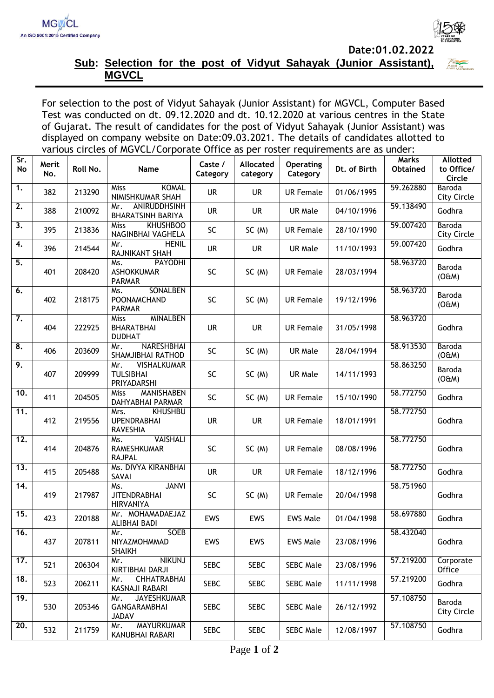**Date:01.02.2022**



## **Sub: Selection for the post of Vidyut Sahayak (Junior Assistant), MGVCL**

For selection to the post of Vidyut Sahayak (Junior Assistant) for MGVCL, Computer Based Test was conducted on dt. 09.12.2020 and dt. 10.12.2020 at various centres in the State of Gujarat. The result of candidates for the post of Vidyut Sahayak (Junior Assistant) was displayed on company website on Date:09.03.2021. The details of candidates allotted to various circles of MGVCL/Corporate Office as per roster requirements are as under:

| Sr.<br>No         | Merit<br>No. | Roll No. | Name                                                           | Caste /<br>Category | Allocated<br>category | <b>Operating</b><br>Category | Dt. of Birth | <b>Marks</b><br>Obtained | <b>Allotted</b><br>to Office/<br>Circle |
|-------------------|--------------|----------|----------------------------------------------------------------|---------------------|-----------------------|------------------------------|--------------|--------------------------|-----------------------------------------|
| $\overline{1}$ .  | 382          | 213290   | <b>KOMAL</b><br>Miss<br>NIMISHKUMAR SHAH                       | <b>UR</b>           | <b>UR</b>             | <b>UR Female</b>             | 01/06/1995   | 59.262880                | <b>Baroda</b><br><b>City Circle</b>     |
| $\overline{2}$ .  | 388          | 210092   | ANIRUDDHSINH<br>Mr.<br><b>BHARATSINH BARIYA</b>                | <b>UR</b>           | <b>UR</b>             | <b>UR Male</b>               | 04/10/1996   | 59.138490                | Godhra                                  |
| 3.                | 395          | 213836   | <b>KHUSHBOO</b><br>Miss<br>NAGINBHAI VAGHELA                   | SC                  | SC(M)                 | <b>UR Female</b>             | 28/10/1990   | 59.007420                | Baroda<br><b>City Circle</b>            |
| 4.                | 396          | 214544   | <b>HENIL</b><br>Mr.<br>RAJNIKANT SHAH                          | <b>UR</b>           | <b>UR</b>             | <b>UR Male</b>               | 11/10/1993   | 59.007420                | Godhra                                  |
| 5.                | 401          | 208420   | <b>PAYODHI</b><br>Ms.<br><b>ASHOKKUMAR</b><br><b>PARMAR</b>    | SC                  | SC(M)                 | <b>UR Female</b>             | 28/03/1994   | 58.963720                | Baroda<br>(OEM)                         |
| 6.                | 402          | 218175   | <b>SONALBEN</b><br>Ms.<br>POONAMCHAND<br><b>PARMAR</b>         | <b>SC</b>           | SC(M)                 | <b>UR Female</b>             | 19/12/1996   | 58.963720                | Baroda<br>(OEM)                         |
| 7.                | 404          | 222925   | <b>MINALBEN</b><br>Miss<br>BHARATBHAI<br><b>DUDHAT</b>         | <b>UR</b>           | <b>UR</b>             | <b>UR Female</b>             | 31/05/1998   | 58.963720                | Godhra                                  |
| 8.                | 406          | 203609   | <b>NARESHBHAI</b><br>Mr.<br>SHAMJIBHAI RATHOD                  | SC                  | SC(M)                 | <b>UR Male</b>               | 28/04/1994   | 58.913530                | <b>Baroda</b><br>(OÆM)                  |
| 9.                | 407          | 209999   | <b>VISHALKUMAR</b><br>Mr.<br><b>TULSIBHAI</b><br>PRIYADARSHI   | <b>SC</b>           | SC(M)                 | <b>UR Male</b>               | 14/11/1993   | 58.863250                | Baroda<br>(OÆM)                         |
| 10.               | 411          | 204505   | MANISHABEN<br>Miss<br>DAHYABHAI PARMAR                         | <b>SC</b>           | SC(M)                 | <b>UR Female</b>             | 15/10/1990   | 58.772750                | Godhra                                  |
| $\overline{11}$ . | 412          | 219556   | <b>KHUSHBU</b><br>Mrs.<br><b>UPENDRABHAI</b><br>RAVESHIA       | <b>UR</b>           | <b>UR</b>             | <b>UR Female</b>             | 18/01/1991   | 58.772750                | Godhra                                  |
| $\overline{12.}$  | 414          | 204876   | <b>VAISHALI</b><br>Ms.<br><b>RAMESHKUMAR</b><br><b>RAJPAL</b>  | <b>SC</b>           | SC(M)                 | <b>UR Female</b>             | 08/08/1996   | 58.772750                | Godhra                                  |
| $\overline{13.}$  | 415          | 205488   | Ms. DIVYA KIRANBHAI<br>SAVAI                                   | <b>UR</b>           | <b>UR</b>             | <b>UR Female</b>             | 18/12/1996   | 58.772750                | Godhra                                  |
| $\overline{14}$ . | 419          | 217987   | <b>JANVI</b><br>Ms.<br><b>JITENDRABHAI</b><br><b>HIRVANIYA</b> | SC                  | SC(M)                 | <b>UR Female</b>             | 20/04/1998   | 58.751960                | Godhra                                  |
| 15.               | 423          | 220188   | Mr. MOHAMADAEJAZ<br>ALIBHAI BADI                               | EWS                 | EWS                   | <b>EWS Male</b>              | 01/04/1998   | 58.697880                | Godhra                                  |
| $\overline{16}$ . | 437          | 207811   | Mr.<br>SOEB<br>NIYAZMOHMMAD<br><b>SHAIKH</b>                   | EWS                 | <b>EWS</b>            | <b>EWS Male</b>              | 23/08/1996   | 58.432040                | Godhra                                  |
| 17.               | 521          | 206304   | <b>NIKUNJ</b><br>Mr.<br><b>KIRTIBHAI DARJI</b>                 | <b>SEBC</b>         | <b>SEBC</b>           | <b>SEBC Male</b>             | 23/08/1996   | 57.219200                | Corporate<br>Office                     |
| 18.               | 523          | 206211   | <b>CHHATRABHAI</b><br>Mr.<br>KASNAJI RABARI                    | <b>SEBC</b>         | <b>SEBC</b>           | <b>SEBC Male</b>             | 11/11/1998   | 57.219200                | Godhra                                  |
| 19.               | 530          | 205346   | <b>JAYESHKUMAR</b><br>Mr.<br>GANGARAMBHAI<br><b>JADAV</b>      | <b>SEBC</b>         | <b>SEBC</b>           | <b>SEBC Male</b>             | 26/12/1992   | 57.108750                | Baroda<br><b>City Circle</b>            |
| 20.               | 532          | 211759   | <b>MAYURKUMAR</b><br>Mr.<br>KANUBHAI RABARI                    | <b>SEBC</b>         | <b>SEBC</b>           | <b>SEBC Male</b>             | 12/08/1997   | 57.108750                | Godhra                                  |